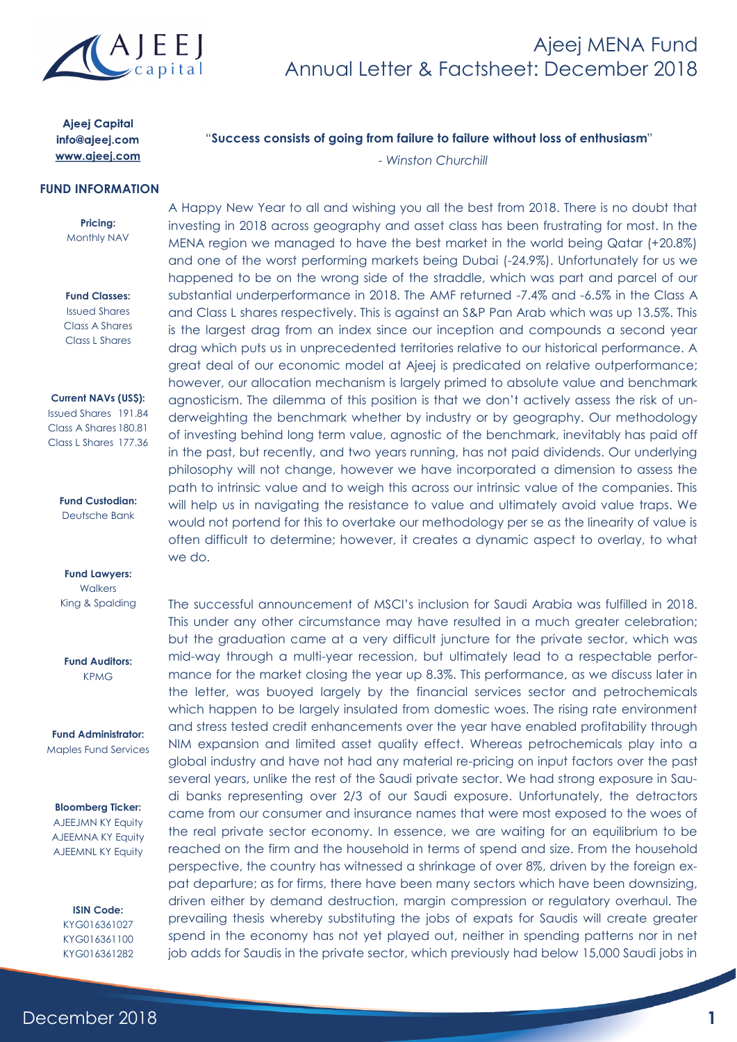

**Ajeej Capital** info@ajeej.com www.ajeej.com

#### **FUND INFORMATION**

**Pricing:** Monthly NAV

**Fund Classes:** Issued Shares Class A Shares Class L Shares

**Current NAVs (US\$):**

Issued Shares 191.84 Class A Shares 180.81 Class L Shares 177.36

> **Fund Custodian:** Deutsche Bank

**Fund Lawyers: Walkers** King & Spalding

**Fund Auditors:** KPMG

**Fund Administrator:** Maples Fund Services

#### **Bloomberg Ticker:**

AJEEJMN KY Equity AJEEMNA KY Equity AJEEMNL KY Equity

> **ISIN Code:** KYG016361027 KYG016361100 KYG016361282

"**Success consists of going from failure to failure without loss of enthusiasm**"

- *Winston Churchill*

A Happy New Year to all and wishing you all the best from 2018. There is no doubt that investing in 2018 across geography and asset class has been frustrating for most. In the MENA region we managed to have the best market in the world being Qatar (+20.8%) and one of the worst performing markets being Dubai (-24.9%). Unfortunately for us we happened to be on the wrong side of the straddle, which was part and parcel of our substantial underperformance in 2018. The AMF returned -7.4% and -6.5% in the Class A and Class L shares respectively. This is against an S&P Pan Arab which was up 13.5%. This is the largest drag from an index since our inception and compounds a second year drag which puts us in unprecedented territories relative to our historical performance. A great deal of our economic model at Ajeej is predicated on relative outperformance; however, our allocation mechanism is largely primed to absolute value and benchmark agnosticism. The dilemma of this position is that we don't actively assess the risk of underweighting the benchmark whether by industry or by geography. Our methodology of investing behind long term value, agnostic of the benchmark, inevitably has paid off in the past, but recently, and two years running, has not paid dividends. Our underlying philosophy will not change, however we have incorporated a dimension to assess the path to intrinsic value and to weigh this across our intrinsic value of the companies. This will help us in navigating the resistance to value and ultimately avoid value traps. We would not portend for this to overtake our methodology per se as the linearity of value is often difficult to determine; however, it creates a dynamic aspect to overlay, to what we do.

The successful announcement of MSCI's inclusion for Saudi Arabia was fulfilled in 2018. This under any other circumstance may have resulted in a much greater celebration; but the graduation came at a very difficult juncture for the private sector, which was mid-way through a multi-year recession, but ultimately lead to a respectable performance for the market closing the year up 8.3%. This performance, as we discuss later in the letter, was buoyed largely by the financial services sector and petrochemicals which happen to be largely insulated from domestic woes. The rising rate environment and stress tested credit enhancements over the year have enabled profitability through NIM expansion and limited asset quality effect. Whereas petrochemicals play into a global industry and have not had any material re-pricing on input factors over the past several years, unlike the rest of the Saudi private sector. We had strong exposure in Saudi banks representing over 2/3 of our Saudi exposure. Unfortunately, the detractors came from our consumer and insurance names that were most exposed to the woes of the real private sector economy. In essence, we are waiting for an equilibrium to be reached on the firm and the household in terms of spend and size. From the household perspective, the country has witnessed a shrinkage of over 8%, driven by the foreign expat departure; as for firms, there have been many sectors which have been downsizing, driven either by demand destruction, margin compression or regulatory overhaul. The prevailing thesis whereby substituting the jobs of expats for Saudis will create greater spend in the economy has not yet played out, neither in spending patterns nor in net job adds for Saudis in the private sector, which previously had below 15,000 Saudi jobs in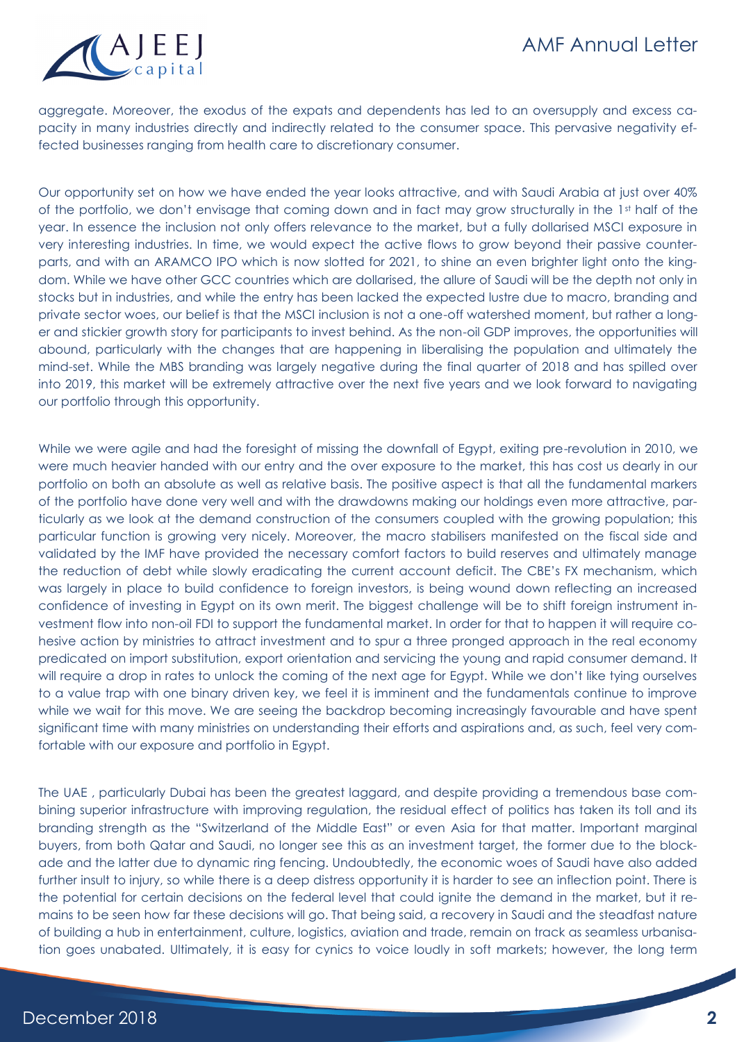

aggregate. Moreover, the exodus of the expats and dependents has led to an oversupply and excess capacity in many industries directly and indirectly related to the consumer space. This pervasive negativity effected businesses ranging from health care to discretionary consumer.

Our opportunity set on how we have ended the year looks attractive, and with Saudi Arabia at just over 40% of the portfolio, we don't envisage that coming down and in fact may grow structurally in the 1st half of the year. In essence the inclusion not only offers relevance to the market, but a fully dollarised MSCI exposure in very interesting industries. In time, we would expect the active flows to grow beyond their passive counterparts, and with an ARAMCO IPO which is now slotted for 2021, to shine an even brighter light onto the kingdom. While we have other GCC countries which are dollarised, the allure of Saudi will be the depth not only in stocks but in industries, and while the entry has been lacked the expected lustre due to macro, branding and private sector woes, our belief is that the MSCI inclusion is not a one-off watershed moment, but rather a longer and stickier growth story for participants to invest behind. As the non-oil GDP improves, the opportunities will abound, particularly with the changes that are happening in liberalising the population and ultimately the mind-set. While the MBS branding was largely negative during the final quarter of 2018 and has spilled over into 2019, this market will be extremely attractive over the next five years and we look forward to navigating our portfolio through this opportunity.

While we were agile and had the foresight of missing the downfall of Egypt, exiting pre-revolution in 2010, we were much heavier handed with our entry and the over exposure to the market, this has cost us dearly in our portfolio on both an absolute as well as relative basis. The positive aspect is that all the fundamental markers of the portfolio have done very well and with the drawdowns making our holdings even more attractive, particularly as we look at the demand construction of the consumers coupled with the growing population; this particular function is growing very nicely. Moreover, the macro stabilisers manifested on the fiscal side and validated by the IMF have provided the necessary comfort factors to build reserves and ultimately manage the reduction of debt while slowly eradicating the current account deficit. The CBE's FX mechanism, which was largely in place to build confidence to foreign investors, is being wound down reflecting an increased confidence of investing in Egypt on its own merit. The biggest challenge will be to shift foreign instrument investment flow into non-oil FDI to support the fundamental market. In order for that to happen it will require cohesive action by ministries to attract investment and to spur a three pronged approach in the real economy predicated on import substitution, export orientation and servicing the young and rapid consumer demand. It will require a drop in rates to unlock the coming of the next age for Egypt. While we don't like tying ourselves to a value trap with one binary driven key, we feel it is imminent and the fundamentals continue to improve while we wait for this move. We are seeing the backdrop becoming increasingly favourable and have spent significant time with many ministries on understanding their efforts and aspirations and, as such, feel very comfortable with our exposure and portfolio in Egypt.

The UAE , particularly Dubai has been the greatest laggard, and despite providing a tremendous base combining superior infrastructure with improving regulation, the residual effect of politics has taken its toll and its branding strength as the "Switzerland of the Middle East" or even Asia for that matter. Important marginal buyers, from both Qatar and Saudi, no longer see this as an investment target, the former due to the blockade and the latter due to dynamic ring fencing. Undoubtedly, the economic woes of Saudi have also added further insult to injury, so while there is a deep distress opportunity it is harder to see an inflection point. There is the potential for certain decisions on the federal level that could ignite the demand in the market, but it remains to be seen how far these decisions will go. That being said, a recovery in Saudi and the steadfast nature of building a hub in entertainment, culture, logistics, aviation and trade, remain on track as seamless urbanisation goes unabated. Ultimately, it is easy for cynics to voice loudly in soft markets; however, the long term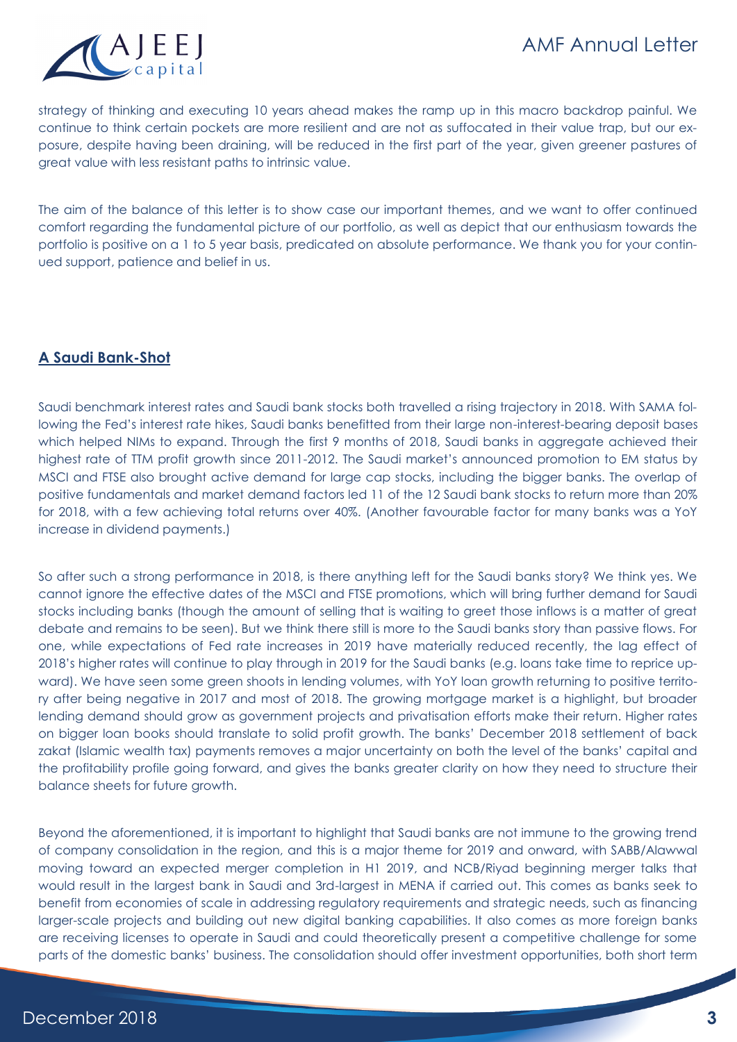

strategy of thinking and executing 10 years ahead makes the ramp up in this macro backdrop painful. We continue to think certain pockets are more resilient and are not as suffocated in their value trap, but our exposure, despite having been draining, will be reduced in the first part of the year, given greener pastures of great value with less resistant paths to intrinsic value.

The aim of the balance of this letter is to show case our important themes, and we want to offer continued comfort regarding the fundamental picture of our portfolio, as well as depict that our enthusiasm towards the portfolio is positive on a 1 to 5 year basis, predicated on absolute performance. We thank you for your continued support, patience and belief in us.

## **A Saudi Bank-Shot**

Saudi benchmark interest rates and Saudi bank stocks both travelled a rising trajectory in 2018. With SAMA following the Fed's interest rate hikes, Saudi banks benefitted from their large non-interest-bearing deposit bases which helped NIMs to expand. Through the first 9 months of 2018, Saudi banks in aggregate achieved their highest rate of TTM profit growth since 2011-2012. The Saudi market's announced promotion to EM status by MSCI and FTSE also brought active demand for large cap stocks, including the bigger banks. The overlap of positive fundamentals and market demand factors led 11 of the 12 Saudi bank stocks to return more than 20% for 2018, with a few achieving total returns over 40%. (Another favourable factor for many banks was a YoY increase in dividend payments.)

So after such a strong performance in 2018, is there anything left for the Saudi banks story? We think yes. We cannot ignore the effective dates of the MSCI and FTSE promotions, which will bring further demand for Saudi stocks including banks (though the amount of selling that is waiting to greet those inflows is a matter of great debate and remains to be seen). But we think there still is more to the Saudi banks story than passive flows. For one, while expectations of Fed rate increases in 2019 have materially reduced recently, the lag effect of 2018's higher rates will continue to play through in 2019 for the Saudi banks (e.g. loans take time to reprice upward). We have seen some green shoots in lending volumes, with YoY loan growth returning to positive territory after being negative in 2017 and most of 2018. The growing mortgage market is a highlight, but broader lending demand should grow as government projects and privatisation efforts make their return. Higher rates on bigger loan books should translate to solid profit growth. The banks' December 2018 settlement of back zakat (Islamic wealth tax) payments removes a major uncertainty on both the level of the banks' capital and the profitability profile going forward, and gives the banks greater clarity on how they need to structure their balance sheets for future growth.

Beyond the aforementioned, it is important to highlight that Saudi banks are not immune to the growing trend of company consolidation in the region, and this is a major theme for 2019 and onward, with SABB/Alawwal moving toward an expected merger completion in H1 2019, and NCB/Riyad beginning merger talks that would result in the largest bank in Saudi and 3rd-largest in MENA if carried out. This comes as banks seek to benefit from economies of scale in addressing regulatory requirements and strategic needs, such as financing larger-scale projects and building out new digital banking capabilities. It also comes as more foreign banks are receiving licenses to operate in Saudi and could theoretically present a competitive challenge for some parts of the domestic banks' business. The consolidation should offer investment opportunities, both short term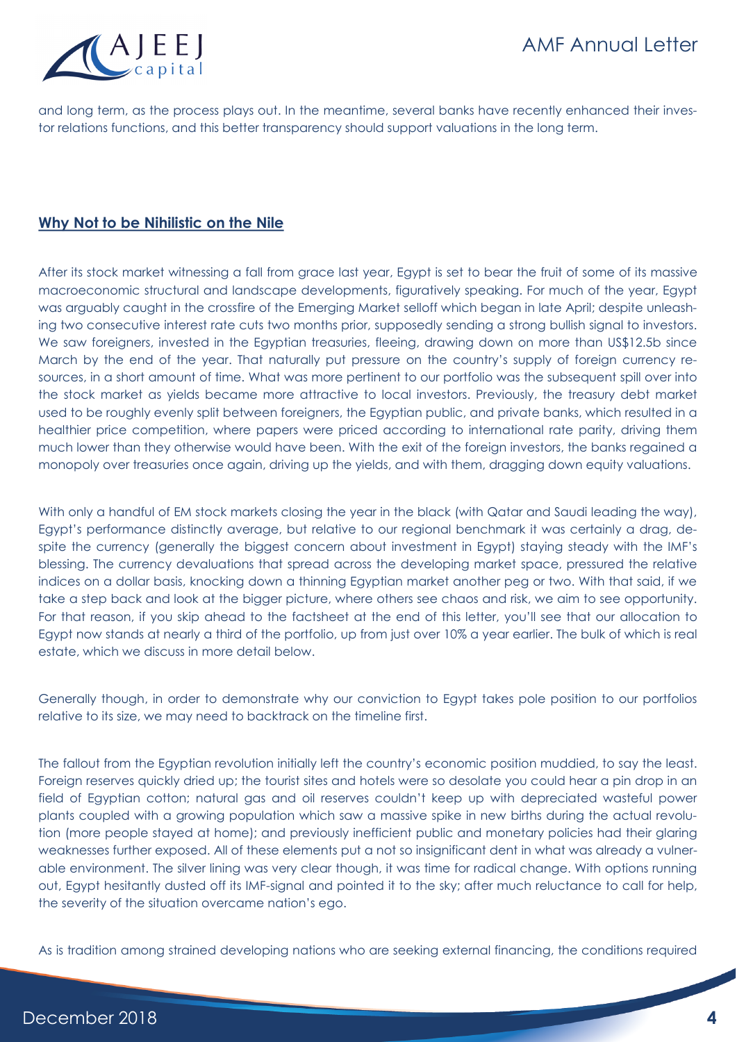

and long term, as the process plays out. In the meantime, several banks have recently enhanced their investor relations functions, and this better transparency should support valuations in the long term.

## **Why Not to be Nihilistic on the Nile**

After its stock market witnessing a fall from grace last year, Egypt is set to bear the fruit of some of its massive macroeconomic structural and landscape developments, figuratively speaking. For much of the year, Egypt was arguably caught in the crossfire of the Emerging Market selloff which began in late April; despite unleashing two consecutive interest rate cuts two months prior, supposedly sending a strong bullish signal to investors. We saw foreigners, invested in the Egyptian treasuries, fleeing, drawing down on more than US\$12.5b since March by the end of the year. That naturally put pressure on the country's supply of foreign currency resources, in a short amount of time. What was more pertinent to our portfolio was the subsequent spill over into the stock market as yields became more attractive to local investors. Previously, the treasury debt market used to be roughly evenly split between foreigners, the Egyptian public, and private banks, which resulted in a healthier price competition, where papers were priced according to international rate parity, driving them much lower than they otherwise would have been. With the exit of the foreign investors, the banks regained a monopoly over treasuries once again, driving up the yields, and with them, dragging down equity valuations.

With only a handful of EM stock markets closing the year in the black (with Qatar and Saudi leading the way), Egypt's performance distinctly average, but relative to our regional benchmark it was certainly a drag, despite the currency (generally the biggest concern about investment in Egypt) staying steady with the IMF's blessing. The currency devaluations that spread across the developing market space, pressured the relative indices on a dollar basis, knocking down a thinning Egyptian market another peg or two. With that said, if we take a step back and look at the bigger picture, where others see chaos and risk, we aim to see opportunity. For that reason, if you skip ahead to the factsheet at the end of this letter, you'll see that our allocation to Egypt now stands at nearly a third of the portfolio, up from just over 10% a year earlier. The bulk of which is real estate, which we discuss in more detail below.

Generally though, in order to demonstrate why our conviction to Egypt takes pole position to our portfolios relative to its size, we may need to backtrack on the timeline first.

The fallout from the Egyptian revolution initially left the country's economic position muddied, to say the least. Foreign reserves quickly dried up; the tourist sites and hotels were so desolate you could hear a pin drop in an field of Egyptian cotton; natural gas and oil reserves couldn't keep up with depreciated wasteful power plants coupled with a growing population which saw a massive spike in new births during the actual revolution (more people stayed at home); and previously inefficient public and monetary policies had their glaring weaknesses further exposed. All of these elements put a not so insignificant dent in what was already a vulnerable environment. The silver lining was very clear though, it was time for radical change. With options running out, Egypt hesitantly dusted off its IMF-signal and pointed it to the sky; after much reluctance to call for help, the severity of the situation overcame nation's ego.

As is tradition among strained developing nations who are seeking external financing, the conditions required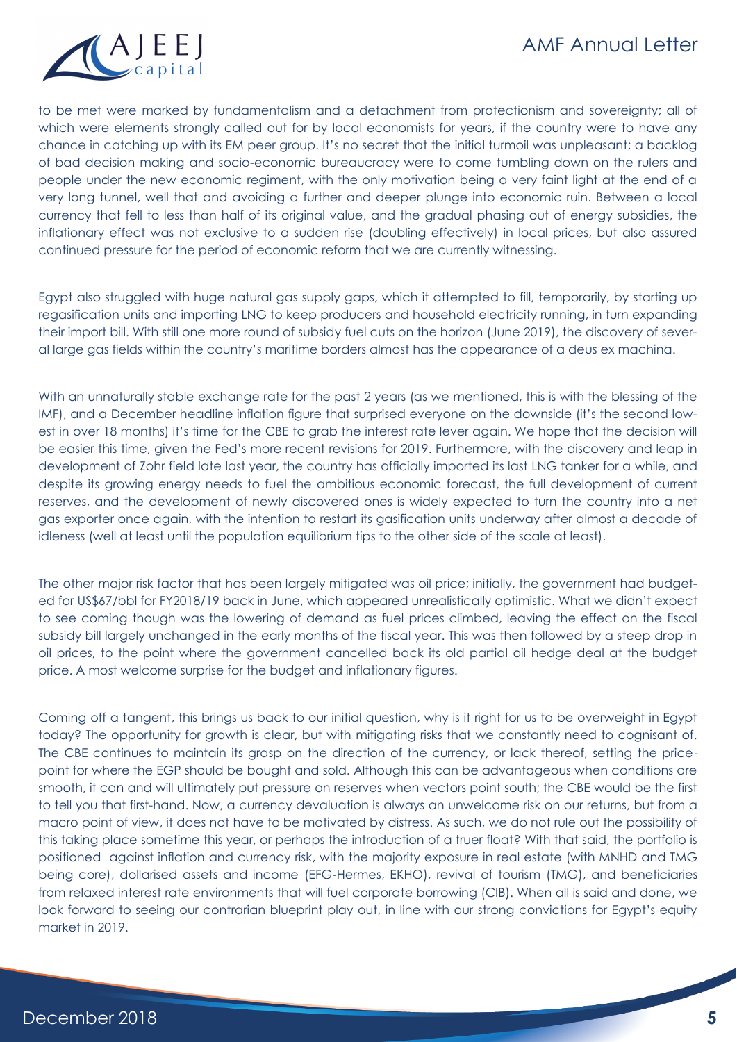

to be met were marked by fundamentalism and a detachment from protectionism and sovereignty; all of which were elements strongly called out for by local economists for years, if the country were to have any chance in catching up with its EM peer group. It's no secret that the initial turmoil was unpleasant; a backlog of bad decision making and socio-economic bureaucracy were to come tumbling down on the rulers and people under the new economic regiment, with the only motivation being a very faint light at the end of a very long tunnel, well that and avoiding a further and deeper plunge into economic ruin. Between a local currency that fell to less than half of its original value, and the gradual phasing out of energy subsidies, the inflationary effect was not exclusive to a sudden rise (doubling effectively) in local prices, but also assured continued pressure for the period of economic reform that we are currently witnessing.

Egypt also struggled with huge natural gas supply gaps, which it attempted to fill, temporarily, by starting up regasification units and importing LNG to keep producers and household electricity running, in turn expanding their import bill. With still one more round of subsidy fuel cuts on the horizon (June 2019), the discovery of several large gas fields within the country's maritime borders almost has the appearance of a deus ex machina.

With an unnaturally stable exchange rate for the past 2 years (as we mentioned, this is with the blessing of the IMF), and a December headline inflation figure that surprised everyone on the downside (it's the second lowest in over 18 months) it's time for the CBE to grab the interest rate lever again. We hope that the decision will be easier this time, given the Fed's more recent revisions for 2019. Furthermore, with the discovery and leap in development of Zohr field late last year, the country has officially imported its last LNG tanker for a while, and despite its growing energy needs to fuel the ambitious economic forecast, the full development of current reserves, and the development of newly discovered ones is widely expected to turn the country into a net gas exporter once again, with the intention to restart its gasification units underway after almost a decade of idleness (well at least until the population equilibrium tips to the other side of the scale at least).

The other major risk factor that has been largely mitigated was oil price; initially, the government had budgeted for US\$67/bbl for FY2018/19 back in June, which appeared unrealistically optimistic. What we didn't expect to see coming though was the lowering of demand as fuel prices climbed, leaving the effect on the fiscal subsidy bill largely unchanged in the early months of the fiscal year. This was then followed by a steep drop in oil prices, to the point where the government cancelled back its old partial oil hedge deal at the budget price. A most welcome surprise for the budget and inflationary figures.

Coming off a tangent, this brings us back to our initial question, why is it right for us to be overweight in Egypt today? The opportunity for growth is clear, but with mitigating risks that we constantly need to cognisant of. The CBE continues to maintain its grasp on the direction of the currency, or lack thereof, setting the pricepoint for where the EGP should be bought and sold. Although this can be advantageous when conditions are smooth, it can and will ultimately put pressure on reserves when vectors point south; the CBE would be the first to tell you that first-hand. Now, a currency devaluation is always an unwelcome risk on our returns, but from a macro point of view, it does not have to be motivated by distress. As such, we do not rule out the possibility of this taking place sometime this year, or perhaps the introduction of a truer float? With that said, the portfolio is positioned against inflation and currency risk, with the majority exposure in real estate (with MNHD and TMG being core), dollarised assets and income (EFG-Hermes, EKHO), revival of tourism (TMG), and beneficiaries from relaxed interest rate environments that will fuel corporate borrowing (CIB). When all is said and done, we look forward to seeing our contrarian blueprint play out, in line with our strong convictions for Egypt's equity market in 2019.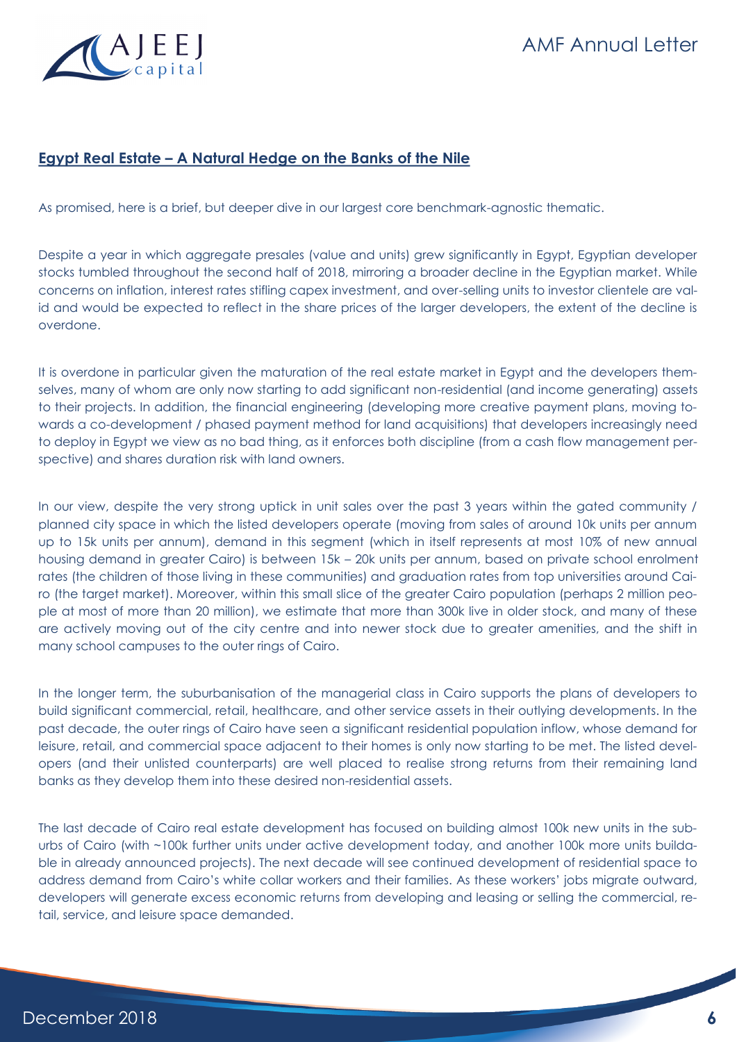# AMF Annual Letter

## **Egypt Real Estate – A Natural Hedge on the Banks of the Nile**

As promised, here is a brief, but deeper dive in our largest core benchmark-agnostic thematic.

Despite a year in which aggregate presales (value and units) grew significantly in Egypt, Egyptian developer stocks tumbled throughout the second half of 2018, mirroring a broader decline in the Egyptian market. While concerns on inflation, interest rates stifling capex investment, and over-selling units to investor clientele are valid and would be expected to reflect in the share prices of the larger developers, the extent of the decline is overdone.

It is overdone in particular given the maturation of the real estate market in Egypt and the developers themselves, many of whom are only now starting to add significant non-residential (and income generating) assets to their projects. In addition, the financial engineering (developing more creative payment plans, moving towards a co-development / phased payment method for land acquisitions) that developers increasingly need to deploy in Egypt we view as no bad thing, as it enforces both discipline (from a cash flow management perspective) and shares duration risk with land owners.

In our view, despite the very strong uptick in unit sales over the past 3 years within the gated community / planned city space in which the listed developers operate (moving from sales of around 10k units per annum up to 15k units per annum), demand in this segment (which in itself represents at most 10% of new annual housing demand in greater Cairo) is between 15k – 20k units per annum, based on private school enrolment rates (the children of those living in these communities) and graduation rates from top universities around Cairo (the target market). Moreover, within this small slice of the greater Cairo population (perhaps 2 million people at most of more than 20 million), we estimate that more than 300k live in older stock, and many of these are actively moving out of the city centre and into newer stock due to greater amenities, and the shift in many school campuses to the outer rings of Cairo.

In the longer term, the suburbanisation of the managerial class in Cairo supports the plans of developers to build significant commercial, retail, healthcare, and other service assets in their outlying developments. In the past decade, the outer rings of Cairo have seen a significant residential population inflow, whose demand for leisure, retail, and commercial space adjacent to their homes is only now starting to be met. The listed developers (and their unlisted counterparts) are well placed to realise strong returns from their remaining land banks as they develop them into these desired non-residential assets.

The last decade of Cairo real estate development has focused on building almost 100k new units in the suburbs of Cairo (with ~100k further units under active development today, and another 100k more units buildable in already announced projects). The next decade will see continued development of residential space to address demand from Cairo's white collar workers and their families. As these workers' jobs migrate outward, developers will generate excess economic returns from developing and leasing or selling the commercial, retail, service, and leisure space demanded.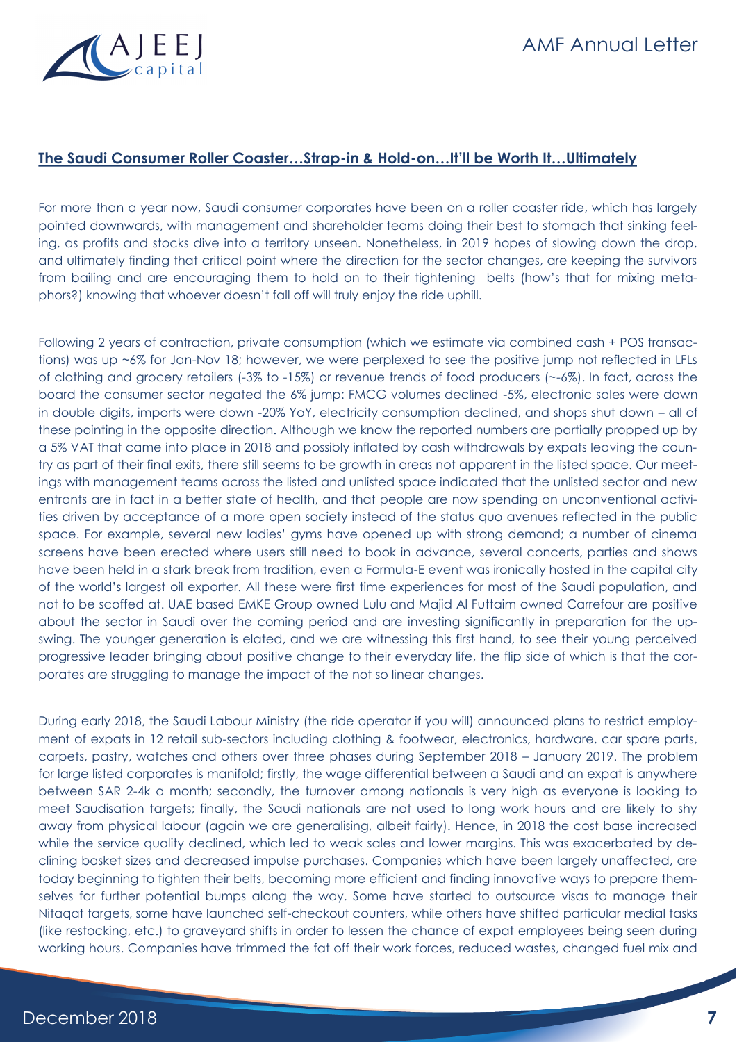

# AMF Annual Letter

#### **The Saudi Consumer Roller Coaster…Strap-in & Hold-on…It'll be Worth It…Ultimately**

For more than a year now, Saudi consumer corporates have been on a roller coaster ride, which has largely pointed downwards, with management and shareholder teams doing their best to stomach that sinking feeling, as profits and stocks dive into a territory unseen. Nonetheless, in 2019 hopes of slowing down the drop, and ultimately finding that critical point where the direction for the sector changes, are keeping the survivors from bailing and are encouraging them to hold on to their tightening belts (how's that for mixing metaphors?) knowing that whoever doesn't fall off will truly enjoy the ride uphill.

Following 2 years of contraction, private consumption (which we estimate via combined cash + POS transactions) was up ~6% for Jan-Nov 18; however, we were perplexed to see the positive jump not reflected in LFLs of clothing and grocery retailers (-3% to -15%) or revenue trends of food producers (~-6%). In fact, across the board the consumer sector negated the 6% jump: FMCG volumes declined -5%, electronic sales were down in double digits, imports were down -20% YoY, electricity consumption declined, and shops shut down – all of these pointing in the opposite direction. Although we know the reported numbers are partially propped up by a 5% VAT that came into place in 2018 and possibly inflated by cash withdrawals by expats leaving the country as part of their final exits, there still seems to be growth in areas not apparent in the listed space. Our meetings with management teams across the listed and unlisted space indicated that the unlisted sector and new entrants are in fact in a better state of health, and that people are now spending on unconventional activities driven by acceptance of a more open society instead of the status quo avenues reflected in the public space. For example, several new ladies' gyms have opened up with strong demand; a number of cinema screens have been erected where users still need to book in advance, several concerts, parties and shows have been held in a stark break from tradition, even a Formula-E event was ironically hosted in the capital city of the world's largest oil exporter. All these were first time experiences for most of the Saudi population, and not to be scoffed at. UAE based EMKE Group owned Lulu and Majid Al Futtaim owned Carrefour are positive about the sector in Saudi over the coming period and are investing significantly in preparation for the upswing. The younger generation is elated, and we are witnessing this first hand, to see their young perceived progressive leader bringing about positive change to their everyday life, the flip side of which is that the corporates are struggling to manage the impact of the not so linear changes.

During early 2018, the Saudi Labour Ministry (the ride operator if you will) announced plans to restrict employment of expats in 12 retail sub-sectors including clothing & footwear, electronics, hardware, car spare parts, carpets, pastry, watches and others over three phases during September 2018 – January 2019. The problem for large listed corporates is manifold; firstly, the wage differential between a Saudi and an expat is anywhere between SAR 2-4k a month; secondly, the turnover among nationals is very high as everyone is looking to meet Saudisation targets; finally, the Saudi nationals are not used to long work hours and are likely to shy away from physical labour (again we are generalising, albeit fairly). Hence, in 2018 the cost base increased while the service quality declined, which led to weak sales and lower margins. This was exacerbated by declining basket sizes and decreased impulse purchases. Companies which have been largely unaffected, are today beginning to tighten their belts, becoming more efficient and finding innovative ways to prepare themselves for further potential bumps along the way. Some have started to outsource visas to manage their Nitaqat targets, some have launched self-checkout counters, while others have shifted particular medial tasks (like restocking, etc.) to graveyard shifts in order to lessen the chance of expat employees being seen during working hours. Companies have trimmed the fat off their work forces, reduced wastes, changed fuel mix and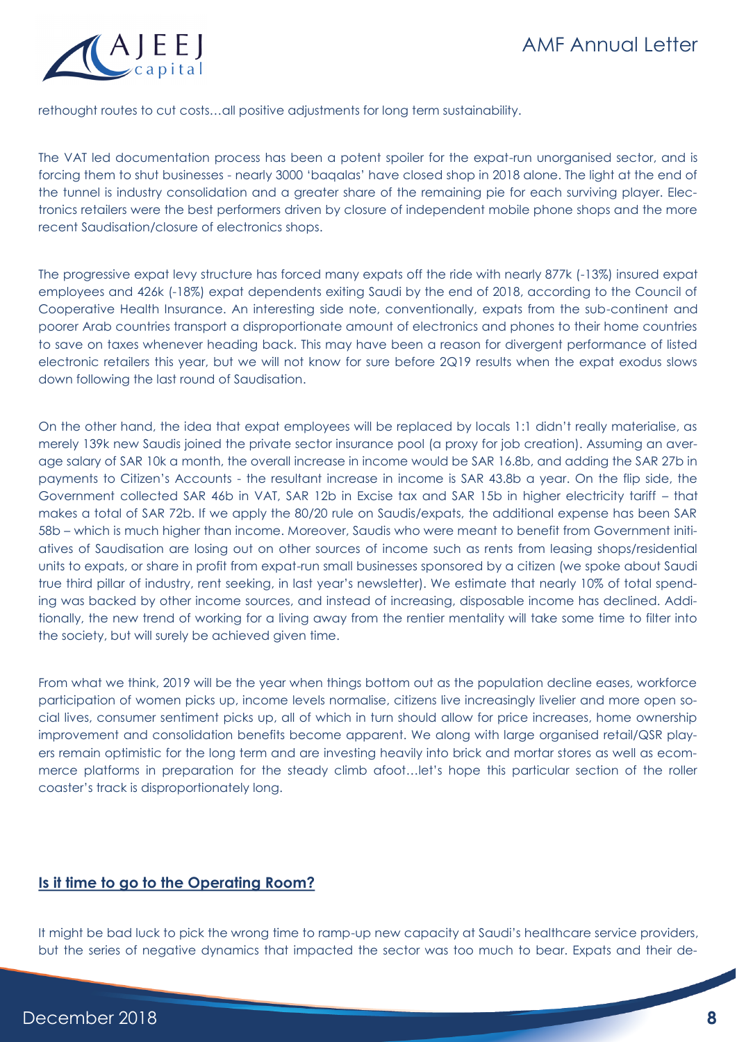

rethought routes to cut costs…all positive adjustments for long term sustainability.

The VAT led documentation process has been a potent spoiler for the expat-run unorganised sector, and is forcing them to shut businesses - nearly 3000 'baqalas' have closed shop in 2018 alone. The light at the end of the tunnel is industry consolidation and a greater share of the remaining pie for each surviving player. Electronics retailers were the best performers driven by closure of independent mobile phone shops and the more recent Saudisation/closure of electronics shops.

The progressive expat levy structure has forced many expats off the ride with nearly 877k (-13%) insured expat employees and 426k (-18%) expat dependents exiting Saudi by the end of 2018, according to the Council of Cooperative Health Insurance. An interesting side note, conventionally, expats from the sub-continent and poorer Arab countries transport a disproportionate amount of electronics and phones to their home countries to save on taxes whenever heading back. This may have been a reason for divergent performance of listed electronic retailers this year, but we will not know for sure before 2Q19 results when the expat exodus slows down following the last round of Saudisation.

On the other hand, the idea that expat employees will be replaced by locals 1:1 didn't really materialise, as merely 139k new Saudis joined the private sector insurance pool (a proxy for job creation). Assuming an average salary of SAR 10k a month, the overall increase in income would be SAR 16.8b, and adding the SAR 27b in payments to Citizen's Accounts - the resultant increase in income is SAR 43.8b a year. On the flip side, the Government collected SAR 46b in VAT, SAR 12b in Excise tax and SAR 15b in higher electricity tariff – that makes a total of SAR 72b. If we apply the 80/20 rule on Saudis/expats, the additional expense has been SAR 58b – which is much higher than income. Moreover, Saudis who were meant to benefit from Government initiatives of Saudisation are losing out on other sources of income such as rents from leasing shops/residential units to expats, or share in profit from expat-run small businesses sponsored by a citizen (we spoke about Saudi true third pillar of industry, rent seeking, in last year's newsletter). We estimate that nearly 10% of total spending was backed by other income sources, and instead of increasing, disposable income has declined. Additionally, the new trend of working for a living away from the rentier mentality will take some time to filter into the society, but will surely be achieved given time.

From what we think, 2019 will be the year when things bottom out as the population decline eases, workforce participation of women picks up, income levels normalise, citizens live increasingly livelier and more open social lives, consumer sentiment picks up, all of which in turn should allow for price increases, home ownership improvement and consolidation benefits become apparent. We along with large organised retail/QSR players remain optimistic for the long term and are investing heavily into brick and mortar stores as well as ecommerce platforms in preparation for the steady climb afoot…let's hope this particular section of the roller coaster's track is disproportionately long.

#### **Is it time to go to the Operating Room?**

It might be bad luck to pick the wrong time to ramp-up new capacity at Saudi's healthcare service providers, but the series of negative dynamics that impacted the sector was too much to bear. Expats and their de-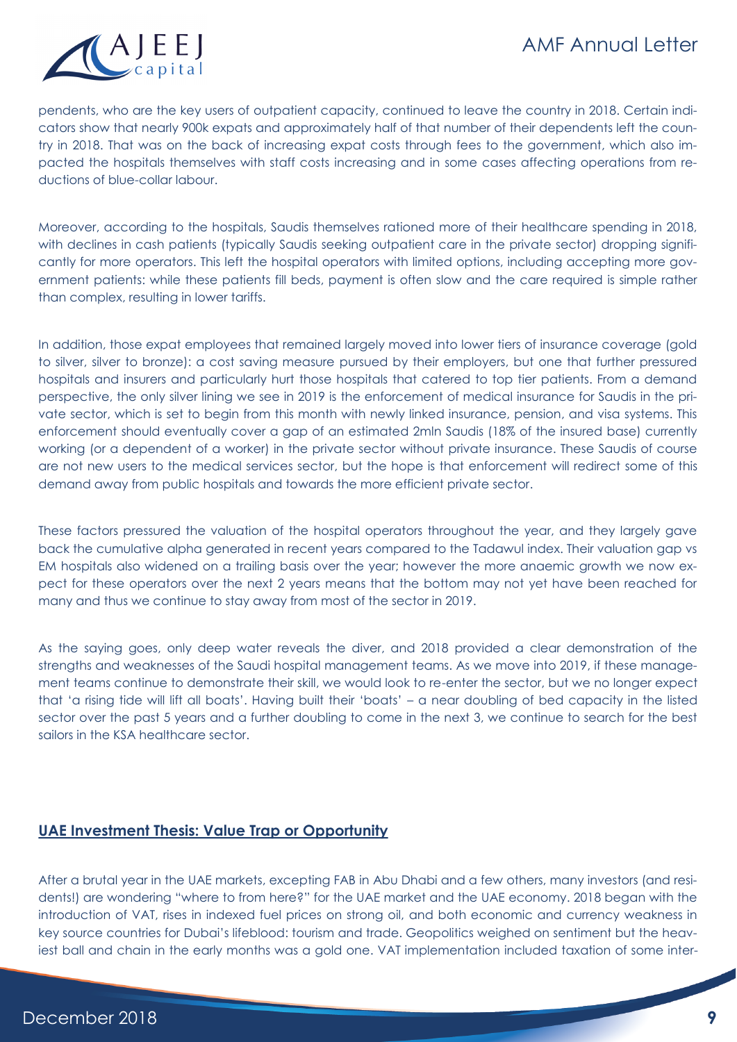

pendents, who are the key users of outpatient capacity, continued to leave the country in 2018. Certain indicators show that nearly 900k expats and approximately half of that number of their dependents left the country in 2018. That was on the back of increasing expat costs through fees to the government, which also impacted the hospitals themselves with staff costs increasing and in some cases affecting operations from reductions of blue-collar labour.

Moreover, according to the hospitals, Saudis themselves rationed more of their healthcare spending in 2018, with declines in cash patients (typically Saudis seeking outpatient care in the private sector) dropping significantly for more operators. This left the hospital operators with limited options, including accepting more government patients: while these patients fill beds, payment is often slow and the care required is simple rather than complex, resulting in lower tariffs.

In addition, those expat employees that remained largely moved into lower tiers of insurance coverage (gold to silver, silver to bronze): a cost saving measure pursued by their employers, but one that further pressured hospitals and insurers and particularly hurt those hospitals that catered to top tier patients. From a demand perspective, the only silver lining we see in 2019 is the enforcement of medical insurance for Saudis in the private sector, which is set to begin from this month with newly linked insurance, pension, and visa systems. This enforcement should eventually cover a gap of an estimated 2mln Saudis (18% of the insured base) currently working (or a dependent of a worker) in the private sector without private insurance. These Saudis of course are not new users to the medical services sector, but the hope is that enforcement will redirect some of this demand away from public hospitals and towards the more efficient private sector.

These factors pressured the valuation of the hospital operators throughout the year, and they largely gave back the cumulative alpha generated in recent years compared to the Tadawul index. Their valuation gap vs EM hospitals also widened on a trailing basis over the year; however the more anaemic growth we now expect for these operators over the next 2 years means that the bottom may not yet have been reached for many and thus we continue to stay away from most of the sector in 2019.

As the saying goes, only deep water reveals the diver, and 2018 provided a clear demonstration of the strengths and weaknesses of the Saudi hospital management teams. As we move into 2019, if these management teams continue to demonstrate their skill, we would look to re-enter the sector, but we no longer expect that 'a rising tide will lift all boats'. Having built their 'boats' – a near doubling of bed capacity in the listed sector over the past 5 years and a further doubling to come in the next 3, we continue to search for the best sailors in the KSA healthcare sector.

#### **UAE Investment Thesis: Value Trap or Opportunity**

After a brutal year in the UAE markets, excepting FAB in Abu Dhabi and a few others, many investors (and residents!) are wondering "where to from here?" for the UAE market and the UAE economy. 2018 began with the introduction of VAT, rises in indexed fuel prices on strong oil, and both economic and currency weakness in key source countries for Dubai's lifeblood: tourism and trade. Geopolitics weighed on sentiment but the heaviest ball and chain in the early months was a gold one. VAT implementation included taxation of some inter-